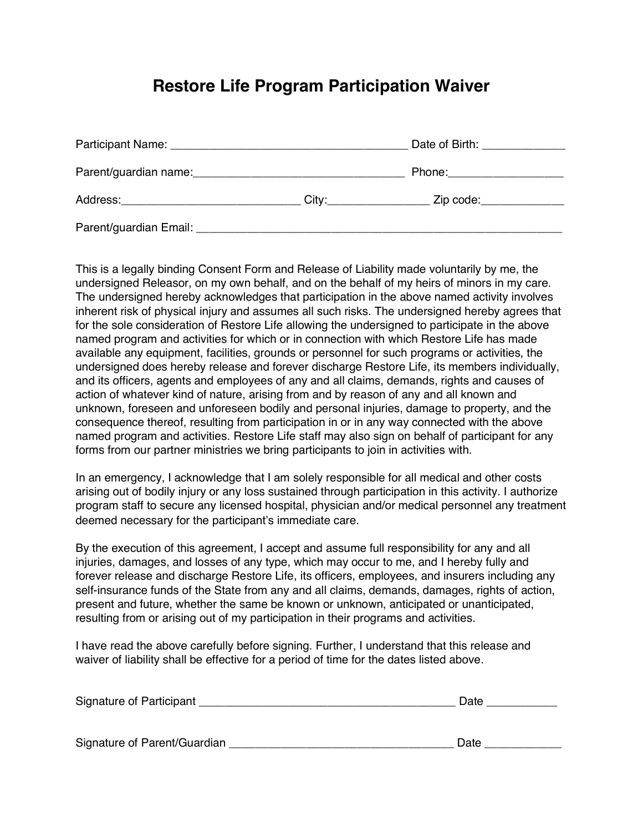## **Restore Life Program Participation Waiver**

|                                                                                                                                                                                                                                |                          | Date of Birth: _______________ |
|--------------------------------------------------------------------------------------------------------------------------------------------------------------------------------------------------------------------------------|--------------------------|--------------------------------|
| Parent/guardian name: example and all the contract of the contract of the contract of the contract of the contract of the contract of the contract of the contract of the contract of the contract of the contract of the cont |                          | Phone: ____________________    |
| Address:__________________________________                                                                                                                                                                                     | City:___________________ | Zip code:_____________         |
|                                                                                                                                                                                                                                |                          |                                |

This is a legally binding Consent Form and Release of Liability made voluntarily by me, the undersigned Releasor, on my own behalf, and on the behalf of my heirs of minors in my care. The undersigned hereby acknowledges that participation in the above named activity involves inherent risk of physical injury and assumes all such risks. The undersigned hereby agrees that for the sole consideration of Restore Life allowing the undersigned to participate in the above named program and activities for which or in connection with which Restore Life has made available any equipment, facilities, grounds or personnel for such programs or activities, the undersigned does hereby release and forever discharge Restore Life, its members individually, and its officers, agents and employees of any and all claims, demands, rights and causes of action of whatever kind of nature, arising from and by reason of any and all known and unknown, foreseen and unforeseen bodily and personal injuries, damage to property, and the consequence thereof, resulting from participation in or in any way connected with the above named program and activities. Restore Life staff may also sign on behalf of participant for any forms from our partner ministries we bring participants to join in activities with.

In an emergency, I acknowledge that I am solely responsible for all medical and other costs arising out of bodily injury or any loss sustained through participation in this activity. I authorize program staff to secure any licensed hospital, physician and/or medical personnel any treatment deemed necessary for the participant's immediate care.

By the execution of this agreement, I accept and assume full responsibility for any and all injuries, damages, and losses of any type, which may occur to me, and I hereby fully and forever release and discharge Restore Life, its officers, employees, and insurers including any self-insurance funds of the State from any and all claims, demands, damages, rights of action, present and future, whether the same be known or unknown, anticipated or unanticipated, resulting from or arising out of my participation in their programs and activities.

I have read the above carefully before signing. Further, I understand that this release and waiver of liability shall be effective for a period of time for the dates listed above.

| Signature of Participant     | Date |
|------------------------------|------|
|                              |      |
|                              |      |
| Signature of Parent/Guardian | Date |